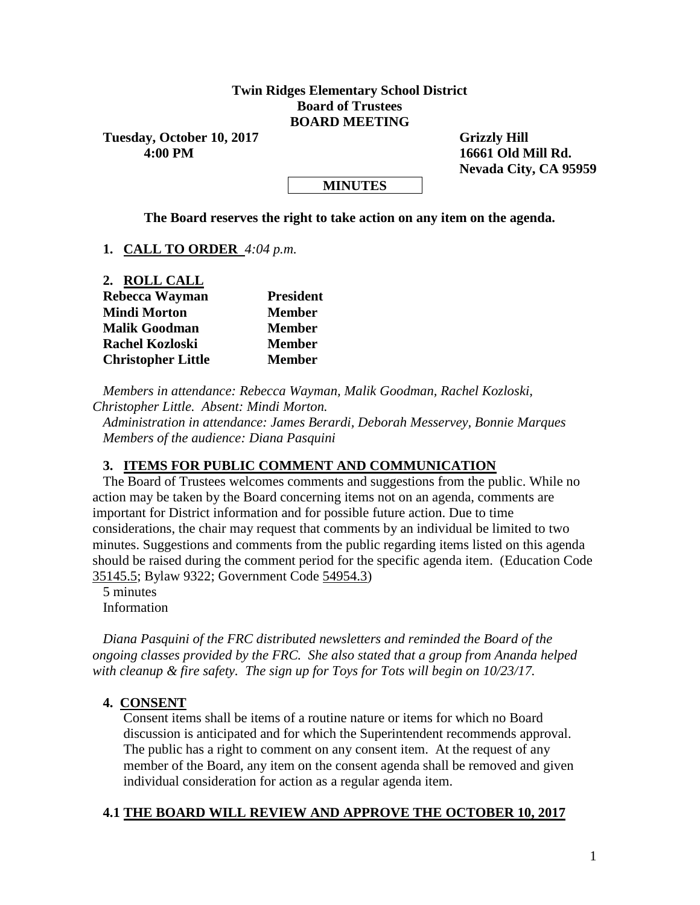#### **Twin Ridges Elementary School District Board of Trustees BOARD MEETING**

Tuesday, October 10, 2017 Grizzly Hill  **4:00 PM 16661 Old Mill Rd.**

 **Nevada City, CA 95959**

#### **MINUTES**

**The Board reserves the right to take action on any item on the agenda.**

**1. CALL TO ORDER** *4:04 p.m.*

| 2. ROLL CALL              |                  |
|---------------------------|------------------|
| Rebecca Wayman            | <b>President</b> |
| <b>Mindi Morton</b>       | <b>Member</b>    |
| <b>Malik Goodman</b>      | <b>Member</b>    |
| <b>Rachel Kozloski</b>    | <b>Member</b>    |
| <b>Christopher Little</b> | <b>Member</b>    |

*Members in attendance: Rebecca Wayman, Malik Goodman, Rachel Kozloski, Christopher Little. Absent: Mindi Morton.*

*Administration in attendance: James Berardi, Deborah Messervey, Bonnie Marques Members of the audience: Diana Pasquini*

#### **3. ITEMS FOR PUBLIC COMMENT AND COMMUNICATION**

The Board of Trustees welcomes comments and suggestions from the public. While no action may be taken by the Board concerning items not on an agenda, comments are important for District information and for possible future action. Due to time considerations, the chair may request that comments by an individual be limited to two minutes. Suggestions and comments from the public regarding items listed on this agenda should be raised during the comment period for the specific agenda item. (Education Code 35145.5; Bylaw 9322; Government Code 54954.3)

5 minutes Information

*Diana Pasquini of the FRC distributed newsletters and reminded the Board of the ongoing classes provided by the FRC. She also stated that a group from Ananda helped with cleanup & fire safety. The sign up for Toys for Tots will begin on 10/23/17.*

#### **4. CONSENT**

Consent items shall be items of a routine nature or items for which no Board discussion is anticipated and for which the Superintendent recommends approval. The public has a right to comment on any consent item. At the request of any member of the Board, any item on the consent agenda shall be removed and given individual consideration for action as a regular agenda item.

#### **4.1 THE BOARD WILL REVIEW AND APPROVE THE OCTOBER 10, 2017**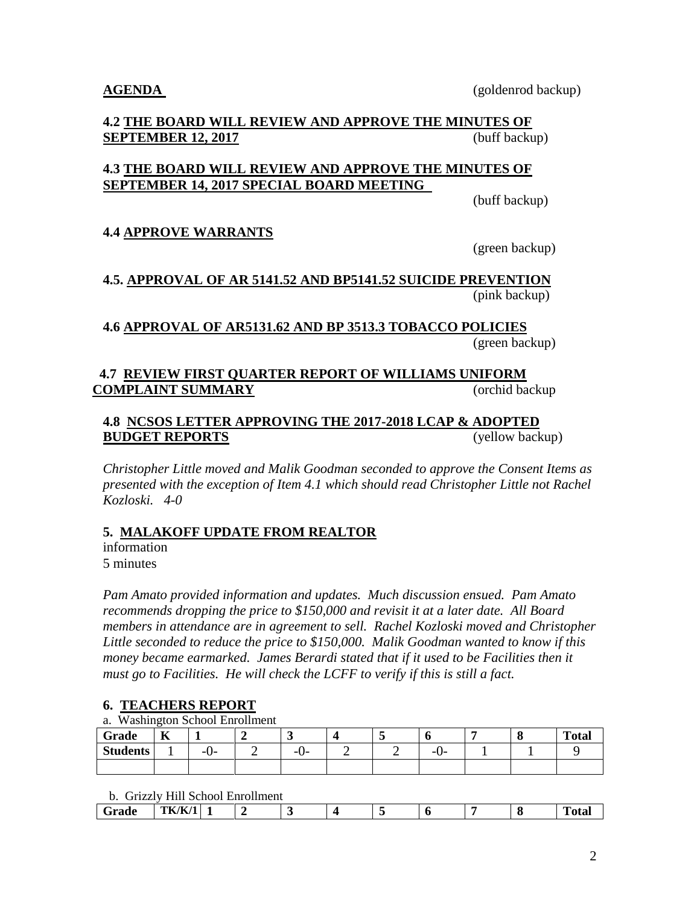#### **4.2 THE BOARD WILL REVIEW AND APPROVE THE MINUTES OF SEPTEMBER 12, 2017** (buff backup)

## **4.3 THE BOARD WILL REVIEW AND APPROVE THE MINUTES OF SEPTEMBER 14, 2017 SPECIAL BOARD MEETING**

(buff backup)

## **4.4 APPROVE WARRANTS**

(green backup)

## **4.5. APPROVAL OF AR 5141.52 AND BP5141.52 SUICIDE PREVENTION** (pink backup)

**4.6 APPROVAL OF AR5131.62 AND BP 3513.3 TOBACCO POLICIES** (green backup)

## **4.7 REVIEW FIRST QUARTER REPORT OF WILLIAMS UNIFORM COMPLAINT SUMMARY** (orchid backup

#### **4.8 NCSOS LETTER APPROVING THE 2017-2018 LCAP & ADOPTED BUDGET REPORTS** (yellow backup)

*Christopher Little moved and Malik Goodman seconded to approve the Consent Items as presented with the exception of Item 4.1 which should read Christopher Little not Rachel Kozloski. 4-0*

#### **5. MALAKOFF UPDATE FROM REALTOR**

information 5 minutes

*Pam Amato provided information and updates. Much discussion ensued. Pam Amato recommends dropping the price to \$150,000 and revisit it at a later date. All Board members in attendance are in agreement to sell. Rachel Kozloski moved and Christopher Little seconded to reduce the price to \$150,000. Malik Goodman wanted to know if this money became earmarked. James Berardi stated that if it used to be Facilities then it must go to Facilities. He will check the LCFF to verify if this is still a fact.*

## **6. TEACHERS REPORT**

a. Washington School Enrollment

| Grade           | $-$<br>л | -   | ັ               |   | v         | О | <b>Total</b> |
|-----------------|----------|-----|-----------------|---|-----------|---|--------------|
| <b>Students</b> |          | -v- | - 1<br>. .<br>ν | - | --<br>—∪− |   |              |
|                 |          |     |                 |   |           |   |              |

#### b. Grizzly Hill School Enrollment

| ___         | ----------<br>------ ------------------------- |  |  |  |  |  |  |  |  |  |
|-------------|------------------------------------------------|--|--|--|--|--|--|--|--|--|
| $ -$<br>auv | <b>PERMIT IN THE LA</b><br>TK/K/I              |  |  |  |  |  |  |  |  |  |
|             |                                                |  |  |  |  |  |  |  |  |  |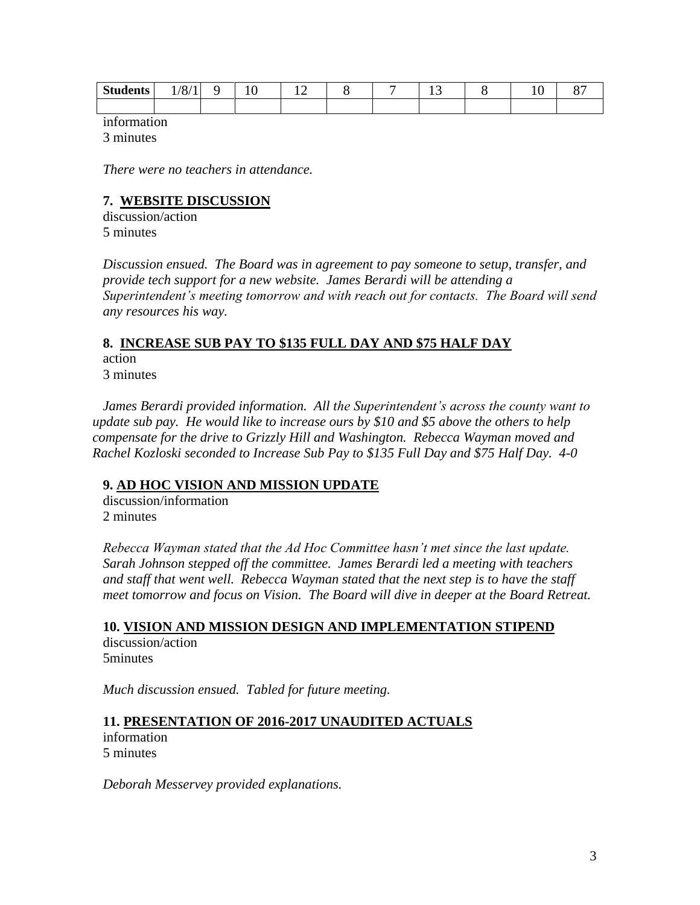| <b>Students</b> | 10.14<br><br>O/1<br>$\blacksquare$ | ∼ | <b>I</b><br>$-$ |  | . . | ◡<br><b>.</b> |  |
|-----------------|------------------------------------|---|-----------------|--|-----|---------------|--|
|                 |                                    |   |                 |  |     |               |  |

information

3 minutes

*There were no teachers in attendance.*

## **7. WEBSITE DISCUSSION**

discussion/action 5 minutes

*Discussion ensued. The Board was in agreement to pay someone to setup, transfer, and provide tech support for a new website. James Berardi will be attending a Superintendent's meeting tomorrow and with reach out for contacts. The Board will send any resources his way.*

## **8. INCREASE SUB PAY TO \$135 FULL DAY AND \$75 HALF DAY** action

3 minutes

*James Berardi provided information. All the Superintendent's across the county want to update sub pay. He would like to increase ours by \$10 and \$5 above the others to help compensate for the drive to Grizzly Hill and Washington. Rebecca Wayman moved and Rachel Kozloski seconded to Increase Sub Pay to \$135 Full Day and \$75 Half Day. 4-0*

## **9. AD HOC VISION AND MISSION UPDATE**

discussion/information 2 minutes

*Rebecca Wayman stated that the Ad Hoc Committee hasn't met since the last update. Sarah Johnson stepped off the committee. James Berardi led a meeting with teachers and staff that went well. Rebecca Wayman stated that the next step is to have the staff meet tomorrow and focus on Vision. The Board will dive in deeper at the Board Retreat.*

#### **10. VISION AND MISSION DESIGN AND IMPLEMENTATION STIPEND** discussion/action 5minutes

*Much discussion ensued. Tabled for future meeting.*

#### **11. PRESENTATION OF 2016-2017 UNAUDITED ACTUALS**

information 5 minutes

*Deborah Messervey provided explanations.*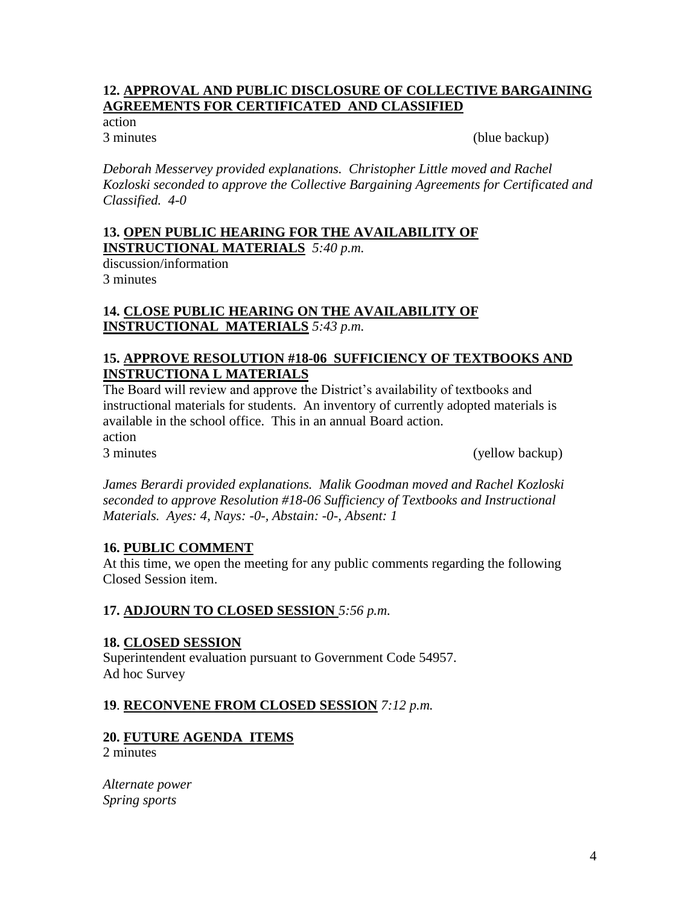#### **12. APPROVAL AND PUBLIC DISCLOSURE OF COLLECTIVE BARGAINING AGREEMENTS FOR CERTIFICATED AND CLASSIFIED**

action

3 minutes (blue backup)

*Deborah Messervey provided explanations. Christopher Little moved and Rachel Kozloski seconded to approve the Collective Bargaining Agreements for Certificated and Classified. 4-0*

#### **13. OPEN PUBLIC HEARING FOR THE AVAILABILITY OF INSTRUCTIONAL MATERIALS** *5:40 p.m.*

discussion/information 3 minutes

## **14. CLOSE PUBLIC HEARING ON THE AVAILABILITY OF INSTRUCTIONAL MATERIALS** *5:43 p.m.*

## **15. APPROVE RESOLUTION #18-06 SUFFICIENCY OF TEXTBOOKS AND INSTRUCTIONA L MATERIALS**

The Board will review and approve the District's availability of textbooks and instructional materials for students. An inventory of currently adopted materials is available in the school office. This in an annual Board action. action 3 minutes (yellow backup)

*James Berardi provided explanations. Malik Goodman moved and Rachel Kozloski seconded to approve Resolution #18-06 Sufficiency of Textbooks and Instructional Materials. Ayes: 4, Nays: -0-, Abstain: -0-, Absent: 1*

#### **16. PUBLIC COMMENT**

At this time, we open the meeting for any public comments regarding the following Closed Session item.

#### **17. ADJOURN TO CLOSED SESSION** *5:56 p.m.*

#### **18. CLOSED SESSION**

Superintendent evaluation pursuant to Government Code 54957. Ad hoc Survey

#### **19**. **RECONVENE FROM CLOSED SESSION** *7:12 p.m.*

## **20. FUTURE AGENDA ITEMS**

2 minutes

*Alternate power Spring sports*